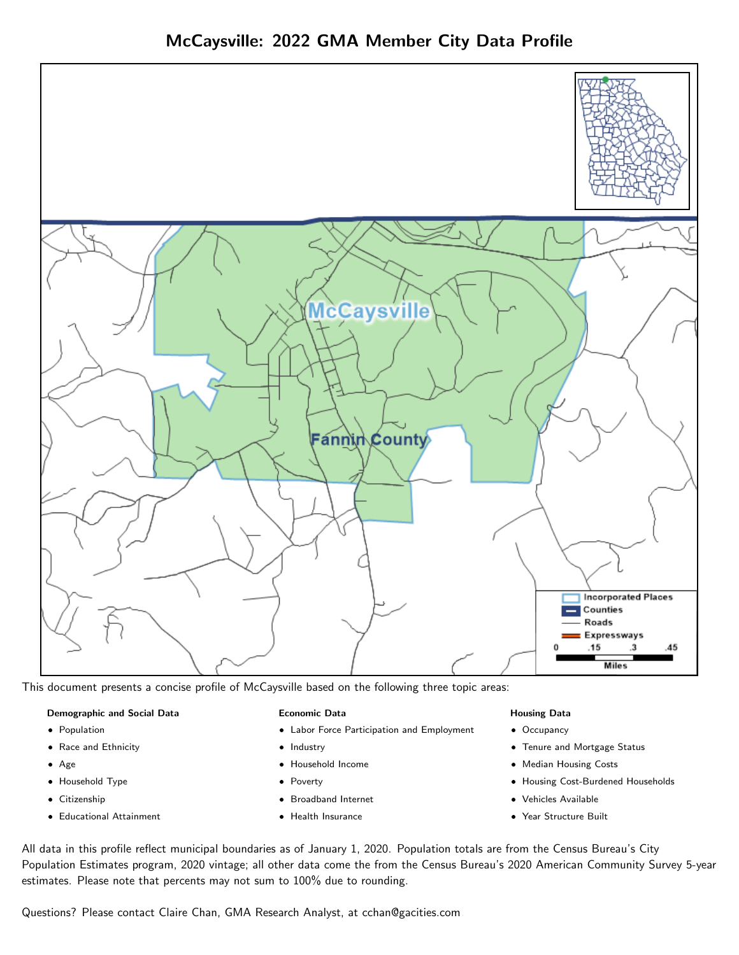

This document presents a concise profile of McCaysville based on the following three topic areas:

## Demographic and Social Data

- **•** Population
- Race and Ethnicity
- Age
- Household Type
- **Citizenship**
- Educational Attainment

## Economic Data

- Labor Force Participation and Employment
- Industry
- Household Income
- Poverty
- Broadband Internet
- Health Insurance

## Housing Data

- Occupancy
- Tenure and Mortgage Status
- Median Housing Costs
- Housing Cost-Burdened Households
- Vehicles Available
- Year Structure Built

All data in this profile reflect municipal boundaries as of January 1, 2020. Population totals are from the Census Bureau's City Population Estimates program, 2020 vintage; all other data come the from the Census Bureau's 2020 American Community Survey 5-year estimates. Please note that percents may not sum to 100% due to rounding.

Questions? Please contact Claire Chan, GMA Research Analyst, at [cchan@gacities.com.](mailto:cchan@gacities.com)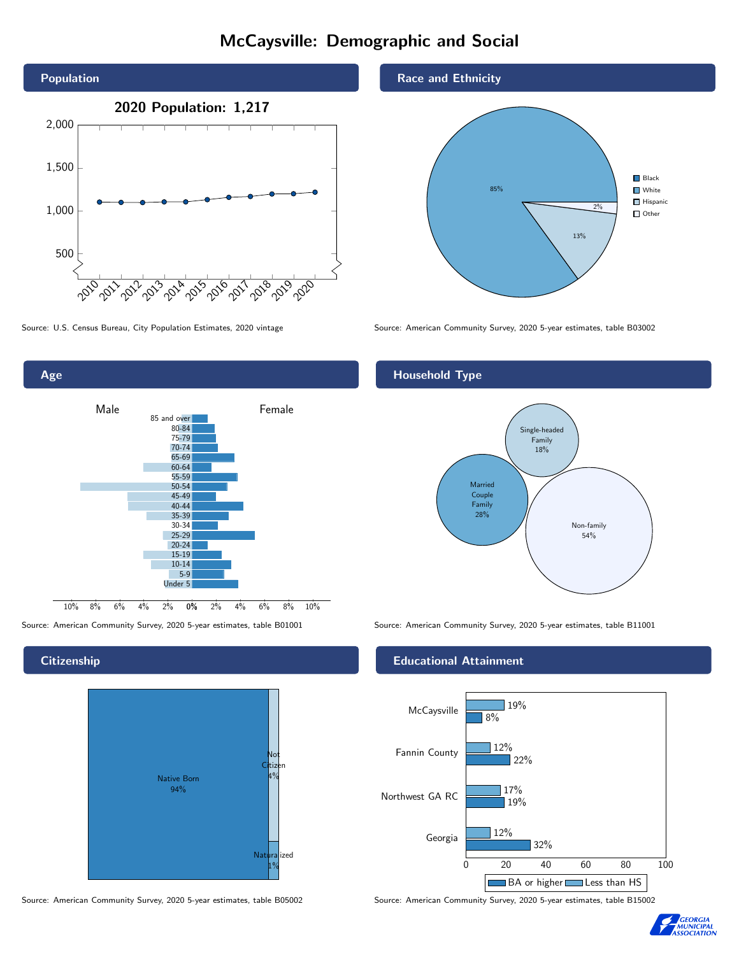# McCaysville: Demographic and Social







## **Citizenship**

Age



Source: American Community Survey, 2020 5-year estimates, table B05002 Source: American Community Survey, 2020 5-year estimates, table B15002

## Race and Ethnicity



Source: U.S. Census Bureau, City Population Estimates, 2020 vintage Source: American Community Survey, 2020 5-year estimates, table B03002

## Household Type



Source: American Community Survey, 2020 5-year estimates, table B01001 Source: American Community Survey, 2020 5-year estimates, table B11001

## Educational Attainment



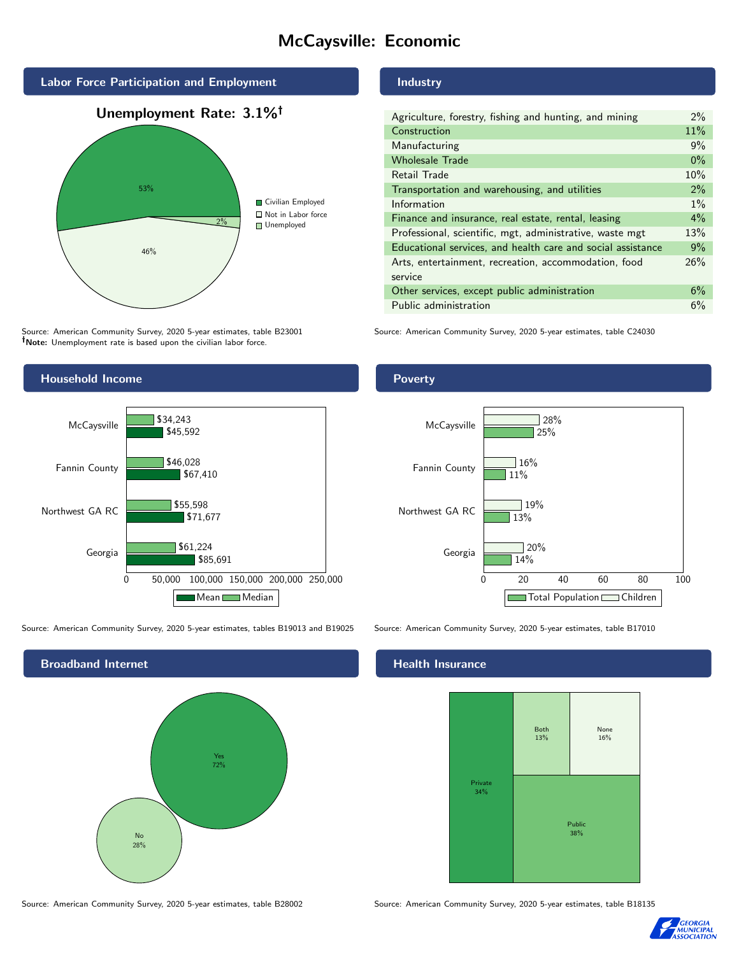# McCaysville: Economic



Source: American Community Survey, 2020 5-year estimates, table B23001 Note: Unemployment rate is based upon the civilian labor force.

## Industry

| Agriculture, forestry, fishing and hunting, and mining      | $2\%$ |
|-------------------------------------------------------------|-------|
| Construction                                                | 11%   |
| Manufacturing                                               | 9%    |
| <b>Wholesale Trade</b>                                      | $0\%$ |
| Retail Trade                                                | 10%   |
| Transportation and warehousing, and utilities               | $2\%$ |
| Information                                                 | $1\%$ |
| Finance and insurance, real estate, rental, leasing         | 4%    |
| Professional, scientific, mgt, administrative, waste mgt    | 13%   |
| Educational services, and health care and social assistance | 9%    |
| Arts, entertainment, recreation, accommodation, food        | 26%   |
| service                                                     |       |
| Other services, except public administration                | 6%    |
| Public administration                                       | 6%    |

Source: American Community Survey, 2020 5-year estimates, table C24030



Source: American Community Survey, 2020 5-year estimates, tables B19013 and B19025 Source: American Community Survey, 2020 5-year estimates, table B17010

Broadband Internet No 28% Yes 72%

#### Health Insurance



Source: American Community Survey, 2020 5-year estimates, table B28002 Source: American Community Survey, 2020 5-year estimates, table B18135



#### **Poverty**